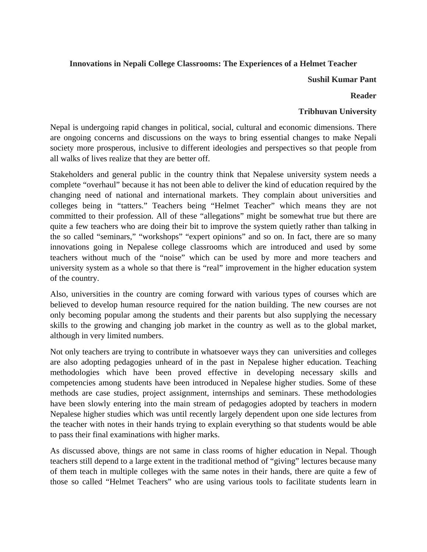# **Innovations in Nepali College Classrooms: The Experiences of a Helmet Teacher**

#### **Sushil Kumar Pant**

#### **Reader**

# **Tribhuvan University**

Nepal is undergoing rapid changes in political, social, cultural and economic dimensions. There are ongoing concerns and discussions on the ways to bring essential changes to make Nepali society more prosperous, inclusive to different ideologies and perspectives so that people from all walks of lives realize that they are better off.

Stakeholders and general public in the country think that Nepalese university system needs a complete "overhaul" because it has not been able to deliver the kind of education required by the changing need of national and international markets. They complain about universities and colleges being in "tatters." Teachers being "Helmet Teacher" which means they are not committed to their profession. All of these "allegations" might be somewhat true but there are quite a few teachers who are doing their bit to improve the system quietly rather than talking in the so called "seminars," "workshops" "expert opinions" and so on. In fact, there are so many innovations going in Nepalese college classrooms which are introduced and used by some teachers without much of the "noise" which can be used by more and more teachers and university system as a whole so that there is "real" improvement in the higher education system of the country.

Also, universities in the country are coming forward with various types of courses which are believed to develop human resource required for the nation building. The new courses are not only becoming popular among the students and their parents but also supplying the necessary skills to the growing and changing job market in the country as well as to the global market, although in very limited numbers.

Not only teachers are trying to contribute in whatsoever ways they can universities and colleges are also adopting pedagogies unheard of in the past in Nepalese higher education. Teaching methodologies which have been proved effective in developing necessary skills and competencies among students have been introduced in Nepalese higher studies. Some of these methods are case studies, project assignment, internships and seminars. These methodologies have been slowly entering into the main stream of pedagogies adopted by teachers in modern Nepalese higher studies which was until recently largely dependent upon one side lectures from the teacher with notes in their hands trying to explain everything so that students would be able to pass their final examinations with higher marks.

As discussed above, things are not same in class rooms of higher education in Nepal. Though teachers still depend to a large extent in the traditional method of "giving" lectures because many of them teach in multiple colleges with the same notes in their hands, there are quite a few of those so called "Helmet Teachers" who are using various tools to facilitate students learn in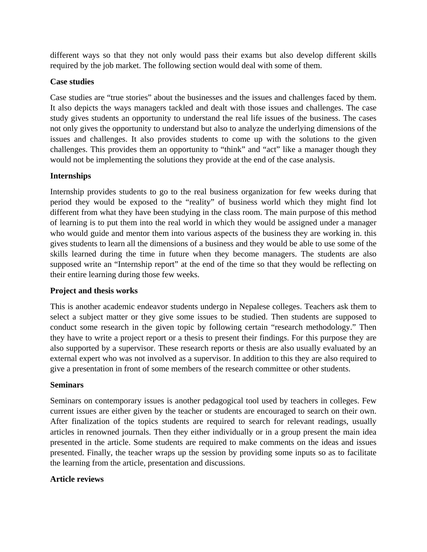different ways so that they not only would pass their exams but also develop different skills required by the job market. The following section would deal with some of them.

#### **Case studies**

Case studies are "true stories" about the businesses and the issues and challenges faced by them. It also depicts the ways managers tackled and dealt with those issues and challenges. The case study gives students an opportunity to understand the real life issues of the business. The cases not only gives the opportunity to understand but also to analyze the underlying dimensions of the issues and challenges. It also provides students to come up with the solutions to the given challenges. This provides them an opportunity to "think" and "act" like a manager though they would not be implementing the solutions they provide at the end of the case analysis.

# **Internships**

Internship provides students to go to the real business organization for few weeks during that period they would be exposed to the "reality" of business world which they might find lot different from what they have been studying in the class room. The main purpose of this method of learning is to put them into the real world in which they would be assigned under a manager who would guide and mentor them into various aspects of the business they are working in. this gives students to learn all the dimensions of a business and they would be able to use some of the skills learned during the time in future when they become managers. The students are also supposed write an "Internship report" at the end of the time so that they would be reflecting on their entire learning during those few weeks.

# **Project and thesis works**

This is another academic endeavor students undergo in Nepalese colleges. Teachers ask them to select a subject matter or they give some issues to be studied. Then students are supposed to conduct some research in the given topic by following certain "research methodology." Then they have to write a project report or a thesis to present their findings. For this purpose they are also supported by a supervisor. These research reports or thesis are also usually evaluated by an external expert who was not involved as a supervisor. In addition to this they are also required to give a presentation in front of some members of the research committee or other students.

#### **Seminars**

Seminars on contemporary issues is another pedagogical tool used by teachers in colleges. Few current issues are either given by the teacher or students are encouraged to search on their own. After finalization of the topics students are required to search for relevant readings, usually articles in renowned journals. Then they either individually or in a group present the main idea presented in the article. Some students are required to make comments on the ideas and issues presented. Finally, the teacher wraps up the session by providing some inputs so as to facilitate the learning from the article, presentation and discussions.

# **Article reviews**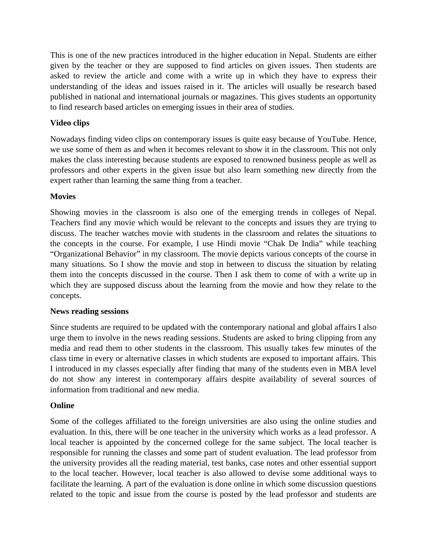This is one of the new practices introduced in the higher education in Nepal. Students are either given by the teacher or they are supposed to find articles on given issues. Then students are asked to review the article and come with a write up in which they have to express their understanding of the ideas and issues raised in it. The articles will usually be research based published in national and international journals or magazines. This gives students an opportunity to find research based articles on emerging issues in their area of studies.

# **Video clips**

Nowadays finding video clips on contemporary issues is quite easy because of YouTube. Hence, we use some of them as and when it becomes relevant to show it in the classroom. This not only makes the class interesting because students are exposed to renowned business people as well as professors and other experts in the given issue but also learn something new directly from the expert rather than learning the same thing from a teacher.

# **Movies**

Showing movies in the classroom is also one of the emerging trends in colleges of Nepal. Teachers find any movie which would be relevant to the concepts and issues they are trying to discuss. The teacher watches movie with students in the classroom and relates the situations to the concepts in the course. For example, I use Hindi movie "Chak De India" while teaching "Organizational Behavior" in my classroom. The movie depicts various concepts of the course in many situations. So I show the movie and stop in between to discuss the situation by relating them into the concepts discussed in the course. Then I ask them to come of with a write up in which they are supposed discuss about the learning from the movie and how they relate to the concepts.

# **News reading sessions**

Since students are required to be updated with the contemporary national and global affairs I also urge them to involve in the news reading sessions. Students are asked to bring clipping from any media and read them to other students in the classroom. This usually takes few minutes of the class time in every or alternative classes in which students are exposed to important affairs. This I introduced in my classes especially after finding that many of the students even in MBA level do not show any interest in contemporary affairs despite availability of several sources of information from traditional and new media.

# **Online**

Some of the colleges affiliated to the foreign universities are also using the online studies and evaluation. In this, there will be one teacher in the university which works as a lead professor. A local teacher is appointed by the concerned college for the same subject. The local teacher is responsible for running the classes and some part of student evaluation. The lead professor from the university provides all the reading material, test banks, case notes and other essential support to the local teacher. However, local teacher is also allowed to devise some additional ways to facilitate the learning. A part of the evaluation is done online in which some discussion questions related to the topic and issue from the course is posted by the lead professor and students are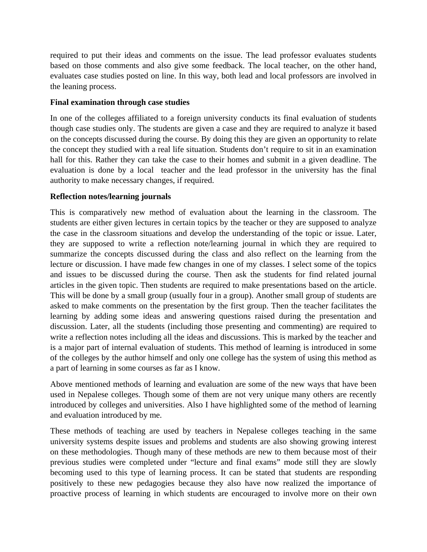required to put their ideas and comments on the issue. The lead professor evaluates students based on those comments and also give some feedback. The local teacher, on the other hand, evaluates case studies posted on line. In this way, both lead and local professors are involved in the leaning process.

#### **Final examination through case studies**

In one of the colleges affiliated to a foreign university conducts its final evaluation of students though case studies only. The students are given a case and they are required to analyze it based on the concepts discussed during the course. By doing this they are given an opportunity to relate the concept they studied with a real life situation. Students don't require to sit in an examination hall for this. Rather they can take the case to their homes and submit in a given deadline. The evaluation is done by a local teacher and the lead professor in the university has the final authority to make necessary changes, if required.

#### **Reflection notes/learning journals**

This is comparatively new method of evaluation about the learning in the classroom. The students are either given lectures in certain topics by the teacher or they are supposed to analyze the case in the classroom situations and develop the understanding of the topic or issue. Later, they are supposed to write a reflection note/learning journal in which they are required to summarize the concepts discussed during the class and also reflect on the learning from the lecture or discussion. I have made few changes in one of my classes. I select some of the topics and issues to be discussed during the course. Then ask the students for find related journal articles in the given topic. Then students are required to make presentations based on the article. This will be done by a small group (usually four in a group). Another small group of students are asked to make comments on the presentation by the first group. Then the teacher facilitates the learning by adding some ideas and answering questions raised during the presentation and discussion. Later, all the students (including those presenting and commenting) are required to write a reflection notes including all the ideas and discussions. This is marked by the teacher and is a major part of internal evaluation of students. This method of learning is introduced in some of the colleges by the author himself and only one college has the system of using this method as a part of learning in some courses as far as I know.

Above mentioned methods of learning and evaluation are some of the new ways that have been used in Nepalese colleges. Though some of them are not very unique many others are recently introduced by colleges and universities. Also I have highlighted some of the method of learning and evaluation introduced by me.

These methods of teaching are used by teachers in Nepalese colleges teaching in the same university systems despite issues and problems and students are also showing growing interest on these methodologies. Though many of these methods are new to them because most of their previous studies were completed under "lecture and final exams" mode still they are slowly becoming used to this type of learning process. It can be stated that students are responding positively to these new pedagogies because they also have now realized the importance of proactive process of learning in which students are encouraged to involve more on their own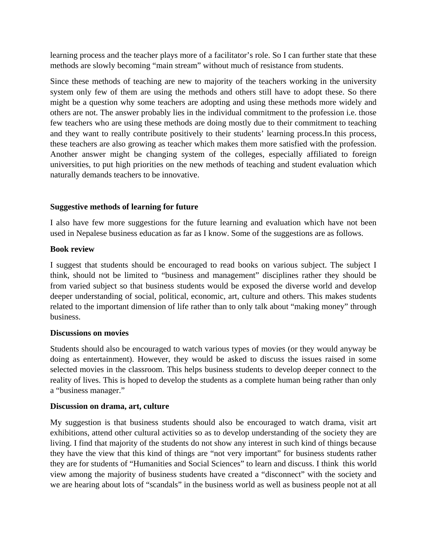learning process and the teacher plays more of a facilitator's role. So I can further state that these methods are slowly becoming "main stream" without much of resistance from students.

Since these methods of teaching are new to majority of the teachers working in the university system only few of them are using the methods and others still have to adopt these. So there might be a question why some teachers are adopting and using these methods more widely and others are not. The answer probably lies in the individual commitment to the profession i.e. those few teachers who are using these methods are doing mostly due to their commitment to teaching and they want to really contribute positively to their students' learning process.In this process, these teachers are also growing as teacher which makes them more satisfied with the profession. Another answer might be changing system of the colleges, especially affiliated to foreign universities, to put high priorities on the new methods of teaching and student evaluation which naturally demands teachers to be innovative.

#### **Suggestive methods of learning for future**

I also have few more suggestions for the future learning and evaluation which have not been used in Nepalese business education as far as I know. Some of the suggestions are as follows.

#### **Book review**

I suggest that students should be encouraged to read books on various subject. The subject I think, should not be limited to "business and management" disciplines rather they should be from varied subject so that business students would be exposed the diverse world and develop deeper understanding of social, political, economic, art, culture and others. This makes students related to the important dimension of life rather than to only talk about "making money" through business.

#### **Discussions on movies**

Students should also be encouraged to watch various types of movies (or they would anyway be doing as entertainment). However, they would be asked to discuss the issues raised in some selected movies in the classroom. This helps business students to develop deeper connect to the reality of lives. This is hoped to develop the students as a complete human being rather than only a "business manager."

# **Discussion on drama, art, culture**

My suggestion is that business students should also be encouraged to watch drama, visit art exhibitions, attend other cultural activities so as to develop understanding of the society they are living. I find that majority of the students do not show any interest in such kind of things because they have the view that this kind of things are "not very important" for business students rather they are for students of "Humanities and Social Sciences" to learn and discuss. I think this world view among the majority of business students have created a "disconnect" with the society and we are hearing about lots of "scandals" in the business world as well as business people not at all